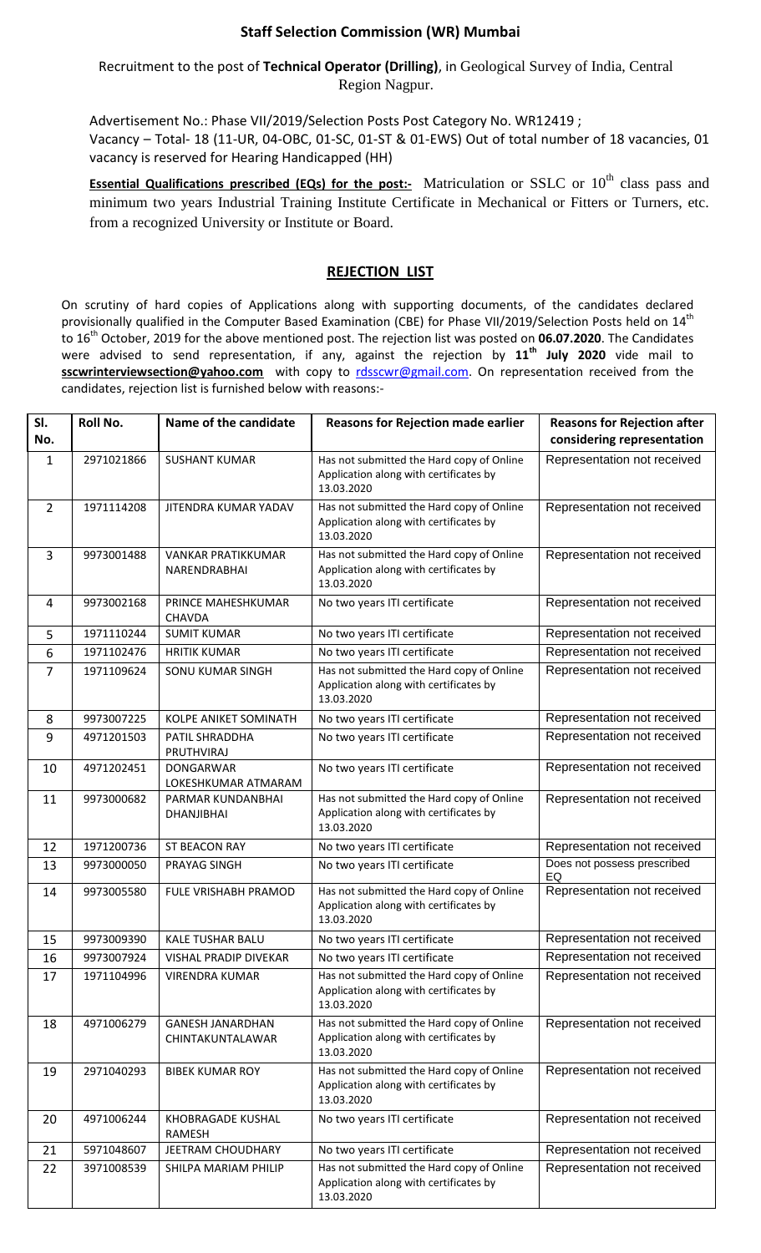### **Staff Selection Commission (WR) Mumbai**

Recruitment to the post of **Technical Operator (Drilling)**, in Geological Survey of India, Central Region Nagpur.

Advertisement No.: Phase VII/2019/Selection Posts Post Category No. WR12419 ; Vacancy – Total- 18 (11-UR, 04-OBC, 01-SC, 01-ST & 01-EWS) Out of total number of 18 vacancies, 01 vacancy is reserved for Hearing Handicapped (HH)

**Essential Qualifications prescribed (EQs) for the post:-** Matriculation or SSLC or 10<sup>th</sup> class pass and minimum two years Industrial Training Institute Certificate in Mechanical or Fitters or Turners, etc. from a recognized University or Institute or Board.

### **REJECTION LIST**

On scrutiny of hard copies of Applications along with supporting documents, of the candidates declared provisionally qualified in the Computer Based Examination (CBE) for Phase VII/2019/Selection Posts held on 14<sup>th</sup> to 16th October, 2019 for the above mentioned post. The rejection list was posted on **06.07.2020**. The Candidates were advised to send representation, if any, against the rejection by **11 th July 2020** vide mail to **sscwrinterviewsection@yahoo.com** with copy to [rdsscwr@gmail.com.](mailto:rdsscwr@gmail.com) On representation received from the candidates, rejection list is furnished below with reasons:-

| SI.            | Roll No.   | Name of the candidate                       | <b>Reasons for Rejection made earlier</b>                                                         | <b>Reasons for Rejection after</b> |
|----------------|------------|---------------------------------------------|---------------------------------------------------------------------------------------------------|------------------------------------|
| No.            |            |                                             |                                                                                                   | considering representation         |
| $\mathbf{1}$   | 2971021866 | <b>SUSHANT KUMAR</b>                        | Has not submitted the Hard copy of Online<br>Application along with certificates by<br>13.03.2020 | Representation not received        |
| $\overline{2}$ | 1971114208 | JITENDRA KUMAR YADAV                        | Has not submitted the Hard copy of Online<br>Application along with certificates by<br>13.03.2020 | Representation not received        |
| 3              | 9973001488 | <b>VANKAR PRATIKKUMAR</b><br>NARENDRABHAI   | Has not submitted the Hard copy of Online<br>Application along with certificates by<br>13.03.2020 | Representation not received        |
| 4              | 9973002168 | PRINCE MAHESHKUMAR<br><b>CHAVDA</b>         | No two years ITI certificate                                                                      | Representation not received        |
| 5              | 1971110244 | <b>SUMIT KUMAR</b>                          | No two years ITI certificate                                                                      | Representation not received        |
| 6              | 1971102476 | <b>HRITIK KUMAR</b>                         | No two years ITI certificate                                                                      | Representation not received        |
| $\overline{7}$ | 1971109624 | SONU KUMAR SINGH                            | Has not submitted the Hard copy of Online<br>Application along with certificates by<br>13.03.2020 | Representation not received        |
| 8              | 9973007225 | KOLPE ANIKET SOMINATH                       | No two years ITI certificate                                                                      | Representation not received        |
| 9              | 4971201503 | PATIL SHRADDHA<br><b>PRUTHVIRAJ</b>         | No two years ITI certificate                                                                      | Representation not received        |
| 10             | 4971202451 | <b>DONGARWAR</b><br>LOKESHKUMAR ATMARAM     | No two years ITI certificate                                                                      | Representation not received        |
| 11             | 9973000682 | PARMAR KUNDANBHAI<br>DHANJIBHAI             | Has not submitted the Hard copy of Online<br>Application along with certificates by<br>13.03.2020 | Representation not received        |
| 12             | 1971200736 | <b>ST BEACON RAY</b>                        | No two years ITI certificate                                                                      | Representation not received        |
| 13             | 9973000050 | PRAYAG SINGH                                | No two years ITI certificate                                                                      | Does not possess prescribed<br>EQ  |
| 14             | 9973005580 | FULE VRISHABH PRAMOD                        | Has not submitted the Hard copy of Online<br>Application along with certificates by<br>13.03.2020 | Representation not received        |
| 15             | 9973009390 | <b>KALE TUSHAR BALU</b>                     | No two years ITI certificate                                                                      | Representation not received        |
| 16             | 9973007924 | <b>VISHAL PRADIP DIVEKAR</b>                | No two years ITI certificate                                                                      | Representation not received        |
| 17             | 1971104996 | <b>VIRENDRA KUMAR</b>                       | Has not submitted the Hard copy of Online<br>Application along with certificates by<br>13.03.2020 | Representation not received        |
| 18             | 4971006279 | <b>GANESH JANARDHAN</b><br>CHINTAKUNTALAWAR | Has not submitted the Hard copy of Online<br>Application along with certificates by<br>13.03.2020 | Representation not received        |
| 19             | 2971040293 | <b>BIBEK KUMAR ROY</b>                      | Has not submitted the Hard copy of Online<br>Application along with certificates by<br>13.03.2020 | Representation not received        |
| 20             | 4971006244 | KHOBRAGADE KUSHAL<br>RAMESH                 | No two years ITI certificate                                                                      | Representation not received        |
| 21             | 5971048607 | JEETRAM CHOUDHARY                           | No two years ITI certificate                                                                      | Representation not received        |
| 22             | 3971008539 | SHILPA MARIAM PHILIP                        | Has not submitted the Hard copy of Online<br>Application along with certificates by<br>13.03.2020 | Representation not received        |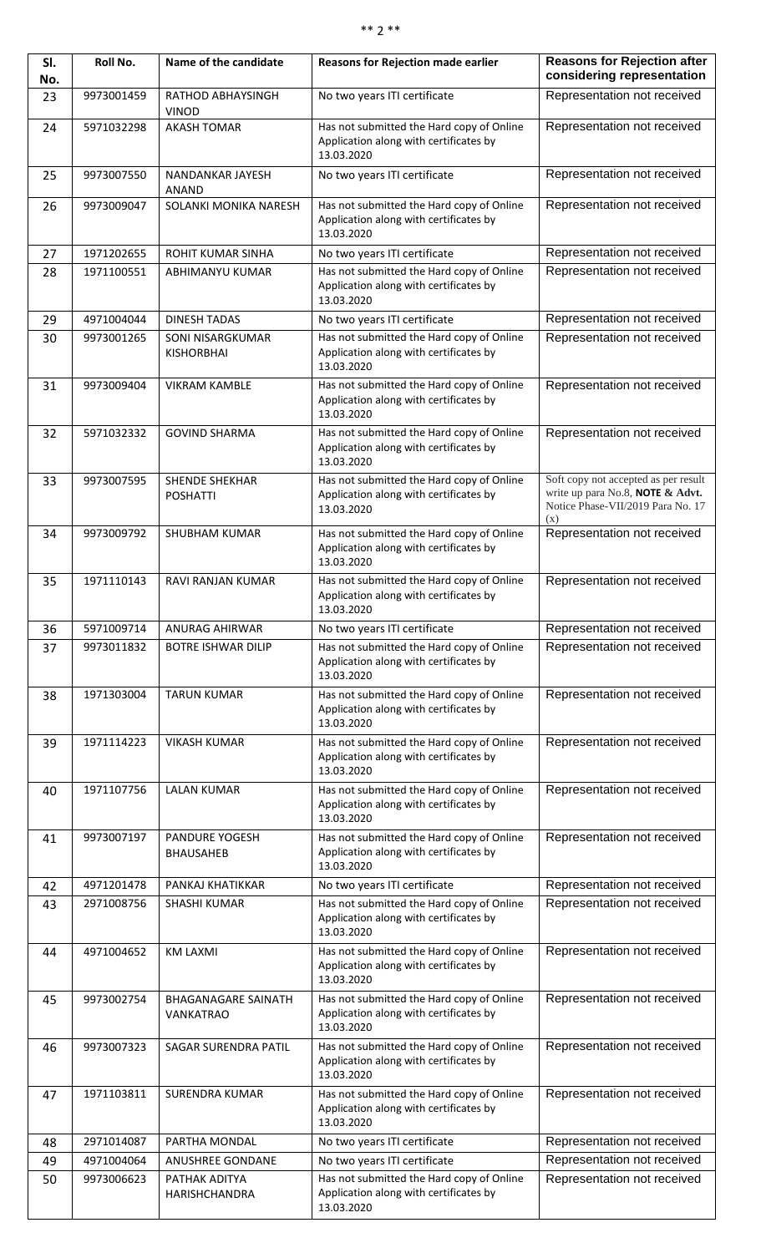| sk sk | ж ж |
|-------|-----|
|-------|-----|

| SI.<br>No. | Roll No.   | Name of the candidate                    | <b>Reasons for Rejection made earlier</b>                                                         | <b>Reasons for Rejection after</b><br>considering representation                                                     |
|------------|------------|------------------------------------------|---------------------------------------------------------------------------------------------------|----------------------------------------------------------------------------------------------------------------------|
| 23         | 9973001459 | RATHOD ABHAYSINGH<br><b>VINOD</b>        | No two years ITI certificate                                                                      | Representation not received                                                                                          |
| 24         | 5971032298 | <b>AKASH TOMAR</b>                       | Has not submitted the Hard copy of Online<br>Application along with certificates by<br>13.03.2020 | Representation not received                                                                                          |
| 25         | 9973007550 | NANDANKAR JAYESH<br><b>ANAND</b>         | No two years ITI certificate                                                                      | Representation not received                                                                                          |
| 26         | 9973009047 | SOLANKI MONIKA NARESH                    | Has not submitted the Hard copy of Online<br>Application along with certificates by<br>13.03.2020 | Representation not received                                                                                          |
| 27         | 1971202655 | ROHIT KUMAR SINHA                        | No two years ITI certificate                                                                      | Representation not received                                                                                          |
| 28         | 1971100551 | ABHIMANYU KUMAR                          | Has not submitted the Hard copy of Online<br>Application along with certificates by<br>13.03.2020 | Representation not received                                                                                          |
| 29         | 4971004044 | <b>DINESH TADAS</b>                      | No two years ITI certificate                                                                      | Representation not received                                                                                          |
| 30         | 9973001265 | SONI NISARGKUMAR<br><b>KISHORBHAI</b>    | Has not submitted the Hard copy of Online<br>Application along with certificates by<br>13.03.2020 | Representation not received                                                                                          |
| 31         | 9973009404 | <b>VIKRAM KAMBLE</b>                     | Has not submitted the Hard copy of Online<br>Application along with certificates by<br>13.03.2020 | Representation not received                                                                                          |
| 32         | 5971032332 | <b>GOVIND SHARMA</b>                     | Has not submitted the Hard copy of Online<br>Application along with certificates by<br>13.03.2020 | Representation not received                                                                                          |
| 33         | 9973007595 | <b>SHENDE SHEKHAR</b><br><b>POSHATTI</b> | Has not submitted the Hard copy of Online<br>Application along with certificates by<br>13.03.2020 | Soft copy not accepted as per result<br>write up para No.8, NOTE & Advt.<br>Notice Phase-VII/2019 Para No. 17<br>(x) |
| 34         | 9973009792 | SHUBHAM KUMAR                            | Has not submitted the Hard copy of Online<br>Application along with certificates by<br>13.03.2020 | Representation not received                                                                                          |
| 35         | 1971110143 | RAVI RANJAN KUMAR                        | Has not submitted the Hard copy of Online<br>Application along with certificates by<br>13.03.2020 | Representation not received                                                                                          |
| 36         | 5971009714 | <b>ANURAG AHIRWAR</b>                    | No two years ITI certificate                                                                      | Representation not received                                                                                          |
| 37         | 9973011832 | <b>BOTRE ISHWAR DILIP</b>                | Has not submitted the Hard copy of Online<br>Application along with certificates by<br>13.03.2020 | Representation not received                                                                                          |
| 38         | 1971303004 | <b>TARUN KUMAR</b>                       | Has not submitted the Hard copy of Online<br>Application along with certificates by<br>13.03.2020 | Representation not received                                                                                          |
| 39         | 1971114223 | <b>VIKASH KUMAR</b>                      | Has not submitted the Hard copy of Online<br>Application along with certificates by<br>13.03.2020 | Representation not received                                                                                          |
| 40         | 1971107756 | <b>LALAN KUMAR</b>                       | Has not submitted the Hard copy of Online<br>Application along with certificates by<br>13.03.2020 | Representation not received                                                                                          |
| 41         | 9973007197 | PANDURE YOGESH<br><b>BHAUSAHEB</b>       | Has not submitted the Hard copy of Online<br>Application along with certificates by<br>13.03.2020 | Representation not received                                                                                          |
| 42         | 4971201478 | PANKAJ KHATIKKAR                         | No two years ITI certificate                                                                      | Representation not received                                                                                          |
| 43         | 2971008756 | SHASHI KUMAR                             | Has not submitted the Hard copy of Online<br>Application along with certificates by<br>13.03.2020 | Representation not received                                                                                          |
| 44         | 4971004652 | <b>KM LAXMI</b>                          | Has not submitted the Hard copy of Online<br>Application along with certificates by<br>13.03.2020 | Representation not received                                                                                          |
| 45         | 9973002754 | <b>BHAGANAGARE SAINATH</b><br>VANKATRAO  | Has not submitted the Hard copy of Online<br>Application along with certificates by<br>13.03.2020 | Representation not received                                                                                          |
| 46         | 9973007323 | SAGAR SURENDRA PATIL                     | Has not submitted the Hard copy of Online<br>Application along with certificates by<br>13.03.2020 | Representation not received                                                                                          |
| 47         | 1971103811 | <b>SURENDRA KUMAR</b>                    | Has not submitted the Hard copy of Online<br>Application along with certificates by<br>13.03.2020 | Representation not received                                                                                          |
| 48         | 2971014087 | PARTHA MONDAL                            | No two years ITI certificate                                                                      | Representation not received                                                                                          |
| 49         | 4971004064 | ANUSHREE GONDANE                         | No two years ITI certificate                                                                      | Representation not received                                                                                          |
| 50         | 9973006623 | PATHAK ADITYA<br>HARISHCHANDRA           | Has not submitted the Hard copy of Online<br>Application along with certificates by<br>13.03.2020 | Representation not received                                                                                          |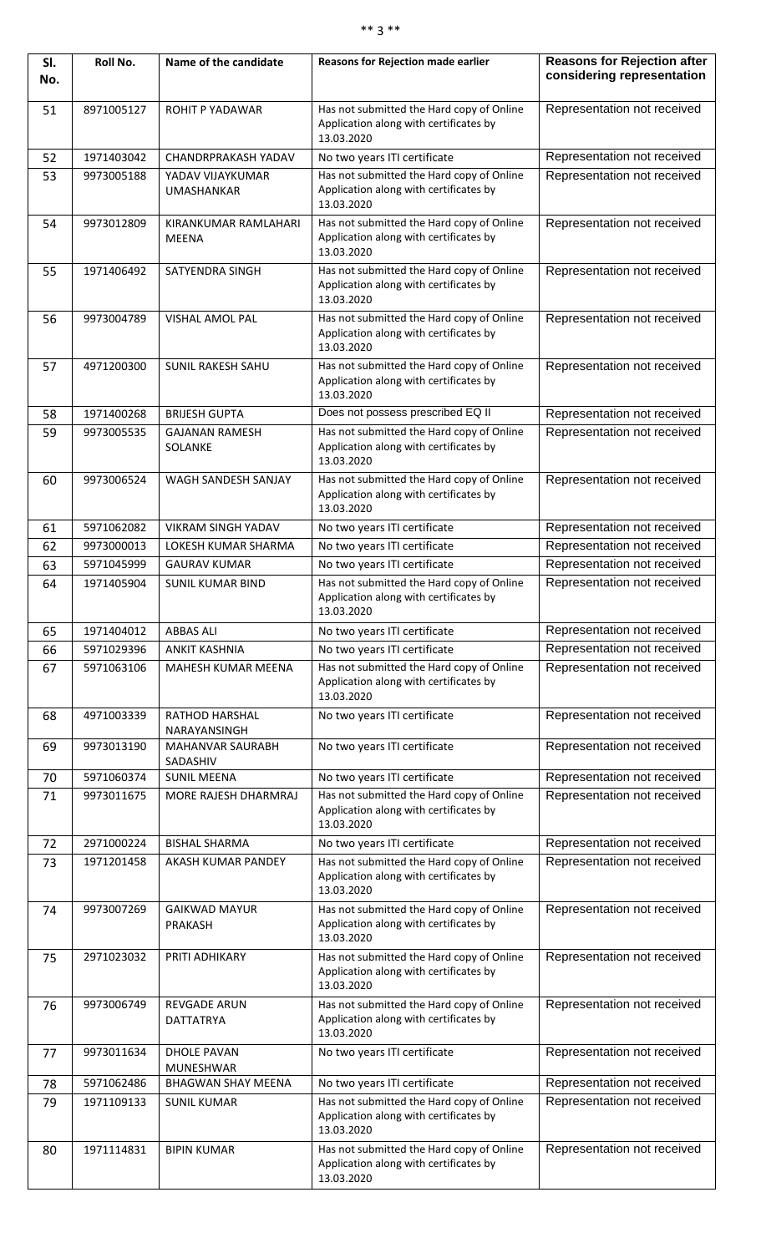## \*\* 3 \*\*

| SI.<br>No. | Roll No.   | Name of the candidate                   | Reasons for Rejection made earlier                                                                | <b>Reasons for Rejection after</b><br>considering representation |
|------------|------------|-----------------------------------------|---------------------------------------------------------------------------------------------------|------------------------------------------------------------------|
| 51         | 8971005127 | ROHIT P YADAWAR                         | Has not submitted the Hard copy of Online<br>Application along with certificates by<br>13.03.2020 | Representation not received                                      |
| 52         | 1971403042 | CHANDRPRAKASH YADAV                     | No two years ITI certificate                                                                      | Representation not received                                      |
| 53         | 9973005188 | YADAV VIJAYKUMAR<br><b>UMASHANKAR</b>   | Has not submitted the Hard copy of Online<br>Application along with certificates by<br>13.03.2020 | Representation not received                                      |
| 54         | 9973012809 | KIRANKUMAR RAMLAHARI<br><b>MEENA</b>    | Has not submitted the Hard copy of Online<br>Application along with certificates by<br>13.03.2020 | Representation not received                                      |
| 55         | 1971406492 | SATYENDRA SINGH                         | Has not submitted the Hard copy of Online<br>Application along with certificates by<br>13.03.2020 | Representation not received                                      |
| 56         | 9973004789 | VISHAL AMOL PAL                         | Has not submitted the Hard copy of Online<br>Application along with certificates by<br>13.03.2020 | Representation not received                                      |
| 57         | 4971200300 | SUNIL RAKESH SAHU                       | Has not submitted the Hard copy of Online<br>Application along with certificates by<br>13.03.2020 | Representation not received                                      |
| 58         | 1971400268 | <b>BRIJESH GUPTA</b>                    | Does not possess prescribed EQ II                                                                 | Representation not received                                      |
| 59         | 9973005535 | <b>GAJANAN RAMESH</b><br>SOLANKE        | Has not submitted the Hard copy of Online<br>Application along with certificates by<br>13.03.2020 | Representation not received                                      |
| 60         | 9973006524 | WAGH SANDESH SANJAY                     | Has not submitted the Hard copy of Online<br>Application along with certificates by<br>13.03.2020 | Representation not received                                      |
| 61         | 5971062082 | <b>VIKRAM SINGH YADAV</b>               | No two years ITI certificate                                                                      | Representation not received                                      |
| 62         | 9973000013 | LOKESH KUMAR SHARMA                     | No two years ITI certificate                                                                      | Representation not received                                      |
| 63         | 5971045999 | <b>GAURAV KUMAR</b>                     | No two years ITI certificate                                                                      | Representation not received                                      |
| 64         | 1971405904 | <b>SUNIL KUMAR BIND</b>                 | Has not submitted the Hard copy of Online<br>Application along with certificates by<br>13.03.2020 | Representation not received                                      |
| 65         | 1971404012 | <b>ABBAS ALI</b>                        | No two years ITI certificate                                                                      | Representation not received                                      |
| 66         | 5971029396 | <b>ANKIT KASHNIA</b>                    | No two years ITI certificate                                                                      | Representation not received                                      |
| 67         | 5971063106 | MAHESH KUMAR MEENA                      | Has not submitted the Hard copy of Online<br>Application along with certificates by<br>13.03.2020 | Representation not received                                      |
| 68         | 4971003339 | <b>RATHOD HARSHAL</b><br>NARAYANSINGH   | No two years ITI certificate                                                                      | Representation not received                                      |
| 69         | 9973013190 | <b>MAHANVAR SAURABH</b><br>SADASHIV     | No two years ITI certificate                                                                      | Representation not received                                      |
| 70         | 5971060374 | <b>SUNIL MEENA</b>                      | No two years ITI certificate                                                                      | Representation not received                                      |
| 71         | 9973011675 | MORE RAJESH DHARMRAJ                    | Has not submitted the Hard copy of Online<br>Application along with certificates by<br>13.03.2020 | Representation not received                                      |
| 72         | 2971000224 | <b>BISHAL SHARMA</b>                    | No two years ITI certificate                                                                      | Representation not received                                      |
| 73         | 1971201458 | AKASH KUMAR PANDEY                      | Has not submitted the Hard copy of Online<br>Application along with certificates by<br>13.03.2020 | Representation not received                                      |
| 74         | 9973007269 | <b>GAIKWAD MAYUR</b><br>PRAKASH         | Has not submitted the Hard copy of Online<br>Application along with certificates by<br>13.03.2020 | Representation not received                                      |
| 75         | 2971023032 | PRITI ADHIKARY                          | Has not submitted the Hard copy of Online<br>Application along with certificates by<br>13.03.2020 | Representation not received                                      |
| 76         | 9973006749 | <b>REVGADE ARUN</b><br><b>DATTATRYA</b> | Has not submitted the Hard copy of Online<br>Application along with certificates by<br>13.03.2020 | Representation not received                                      |
| 77         | 9973011634 | <b>DHOLE PAVAN</b><br><b>MUNESHWAR</b>  | No two years ITI certificate                                                                      | Representation not received                                      |
| 78         | 5971062486 | <b>BHAGWAN SHAY MEENA</b>               | No two years ITI certificate                                                                      | Representation not received                                      |
| 79         | 1971109133 | <b>SUNIL KUMAR</b>                      | Has not submitted the Hard copy of Online<br>Application along with certificates by<br>13.03.2020 | Representation not received                                      |
| 80         | 1971114831 | <b>BIPIN KUMAR</b>                      | Has not submitted the Hard copy of Online<br>Application along with certificates by<br>13.03.2020 | Representation not received                                      |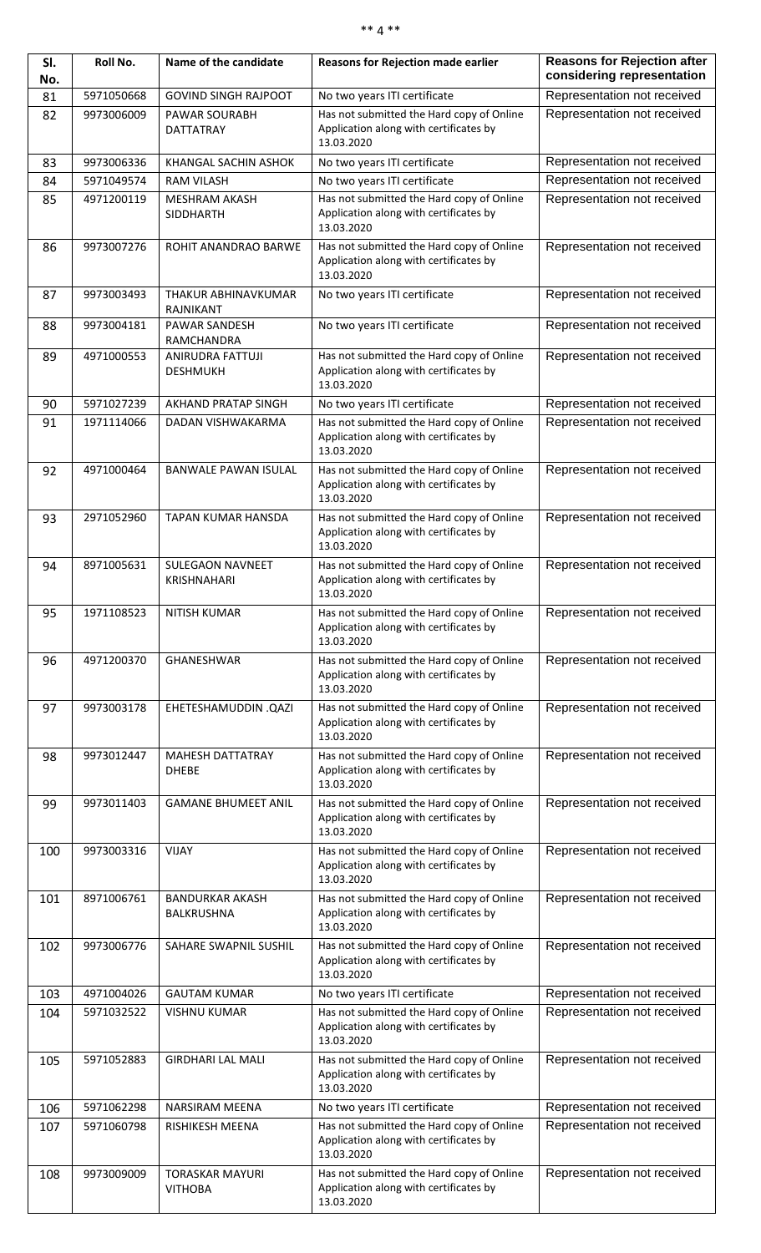#### \*\* 4 \*\*

| SI.<br>No. | Roll No.   | Name of the candidate                     | Reasons for Rejection made earlier                                                                | <b>Reasons for Rejection after</b><br>considering representation |
|------------|------------|-------------------------------------------|---------------------------------------------------------------------------------------------------|------------------------------------------------------------------|
| 81         | 5971050668 | <b>GOVIND SINGH RAJPOOT</b>               | No two years ITI certificate                                                                      | Representation not received                                      |
| 82         | 9973006009 | PAWAR SOURABH<br><b>DATTATRAY</b>         | Has not submitted the Hard copy of Online<br>Application along with certificates by<br>13.03.2020 | Representation not received                                      |
| 83         | 9973006336 | KHANGAL SACHIN ASHOK                      | No two years ITI certificate                                                                      | Representation not received                                      |
| 84         | 5971049574 | <b>RAM VILASH</b>                         | No two years ITI certificate                                                                      | Representation not received                                      |
| 85         | 4971200119 | <b>MESHRAM AKASH</b><br><b>SIDDHARTH</b>  | Has not submitted the Hard copy of Online<br>Application along with certificates by<br>13.03.2020 | Representation not received                                      |
| 86         | 9973007276 | ROHIT ANANDRAO BARWE                      | Has not submitted the Hard copy of Online<br>Application along with certificates by<br>13.03.2020 | Representation not received                                      |
| 87         | 9973003493 | THAKUR ABHINAVKUMAR<br>RAJNIKANT          | No two years ITI certificate                                                                      | Representation not received                                      |
| 88         | 9973004181 | <b>PAWAR SANDESH</b><br><b>RAMCHANDRA</b> | No two years ITI certificate                                                                      | Representation not received                                      |
| 89         | 4971000553 | ANIRUDRA FATTUJI<br><b>DESHMUKH</b>       | Has not submitted the Hard copy of Online<br>Application along with certificates by<br>13.03.2020 | Representation not received                                      |
| 90         | 5971027239 | AKHAND PRATAP SINGH                       | No two years ITI certificate                                                                      | Representation not received                                      |
| 91         | 1971114066 | DADAN VISHWAKARMA                         | Has not submitted the Hard copy of Online<br>Application along with certificates by<br>13.03.2020 | Representation not received                                      |
| 92         | 4971000464 | <b>BANWALE PAWAN ISULAL</b>               | Has not submitted the Hard copy of Online<br>Application along with certificates by<br>13.03.2020 | Representation not received                                      |
| 93         | 2971052960 | TAPAN KUMAR HANSDA                        | Has not submitted the Hard copy of Online<br>Application along with certificates by<br>13.03.2020 | Representation not received                                      |
| 94         | 8971005631 | SULEGAON NAVNEET<br><b>KRISHNAHARI</b>    | Has not submitted the Hard copy of Online<br>Application along with certificates by<br>13.03.2020 | Representation not received                                      |
| 95         | 1971108523 | <b>NITISH KUMAR</b>                       | Has not submitted the Hard copy of Online<br>Application along with certificates by<br>13.03.2020 | Representation not received                                      |
| 96         | 4971200370 | GHANESHWAR                                | Has not submitted the Hard copy of Online<br>Application along with certificates by<br>13.03.2020 | Representation not received                                      |
| 97         | 9973003178 | EHETESHAMUDDIN.QAZI                       | Has not submitted the Hard copy of Online<br>Application along with certificates by<br>13.03.2020 | Representation not received                                      |
| 98         | 9973012447 | <b>MAHESH DATTATRAY</b><br><b>DHEBE</b>   | Has not submitted the Hard copy of Online<br>Application along with certificates by<br>13.03.2020 | Representation not received                                      |
| 99         | 9973011403 | <b>GAMANE BHUMEET ANIL</b>                | Has not submitted the Hard copy of Online<br>Application along with certificates by<br>13.03.2020 | Representation not received                                      |
| 100        | 9973003316 | <b>VIJAY</b>                              | Has not submitted the Hard copy of Online<br>Application along with certificates by<br>13.03.2020 | Representation not received                                      |
| 101        | 8971006761 | <b>BANDURKAR AKASH</b><br>BALKRUSHNA      | Has not submitted the Hard copy of Online<br>Application along with certificates by<br>13.03.2020 | Representation not received                                      |
| 102        | 9973006776 | SAHARE SWAPNIL SUSHIL                     | Has not submitted the Hard copy of Online<br>Application along with certificates by<br>13.03.2020 | Representation not received                                      |
| 103        | 4971004026 | <b>GAUTAM KUMAR</b>                       | No two years ITI certificate                                                                      | Representation not received                                      |
| 104        | 5971032522 | <b>VISHNU KUMAR</b>                       | Has not submitted the Hard copy of Online<br>Application along with certificates by<br>13.03.2020 | Representation not received                                      |
| 105        | 5971052883 | <b>GIRDHARI LAL MALI</b>                  | Has not submitted the Hard copy of Online<br>Application along with certificates by<br>13.03.2020 | Representation not received                                      |
| 106        | 5971062298 | <b>NARSIRAM MEENA</b>                     | No two years ITI certificate                                                                      | Representation not received                                      |
| 107        | 5971060798 | RISHIKESH MEENA                           | Has not submitted the Hard copy of Online<br>Application along with certificates by<br>13.03.2020 | Representation not received                                      |
| 108        | 9973009009 | TORASKAR MAYURI<br><b>VITHOBA</b>         | Has not submitted the Hard copy of Online<br>Application along with certificates by<br>13.03.2020 | Representation not received                                      |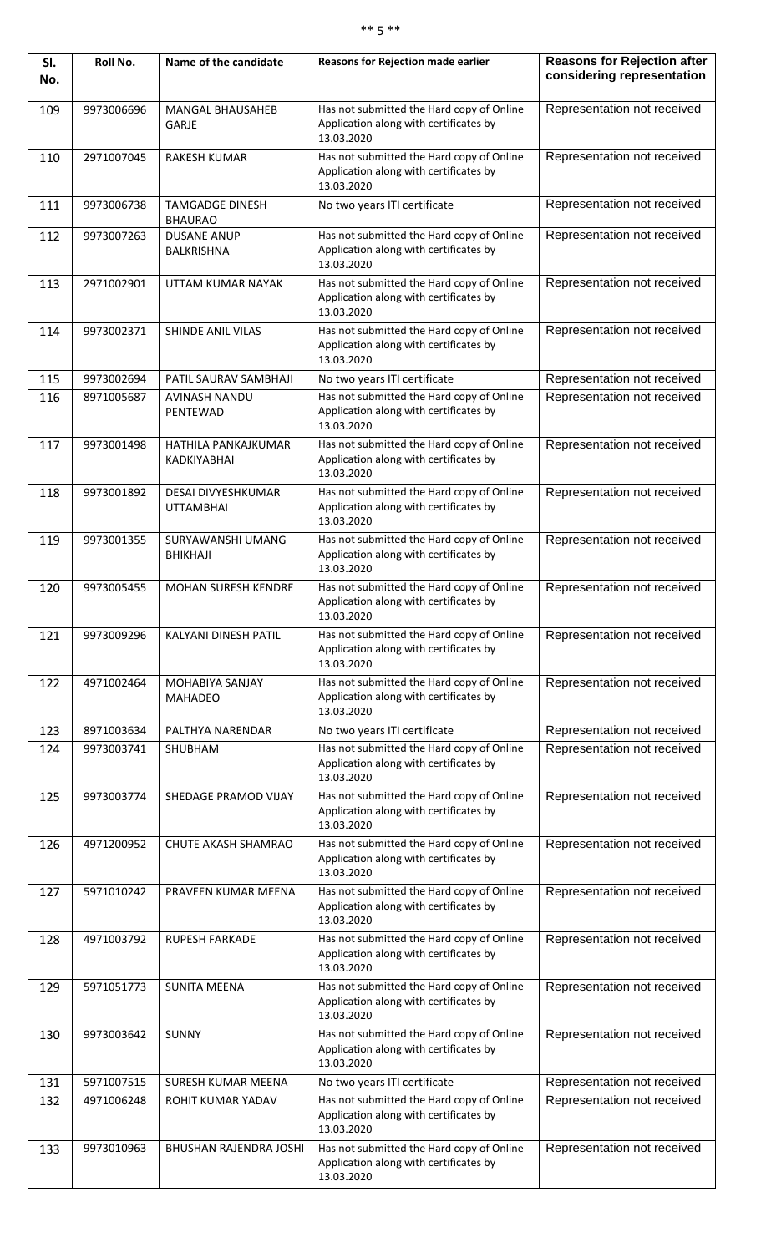# \*\* 5 \*\*

| SI.<br>No. | Roll No.   | Name of the candidate                     | <b>Reasons for Rejection made earlier</b>                                                         | <b>Reasons for Rejection after</b><br>considering representation |
|------------|------------|-------------------------------------------|---------------------------------------------------------------------------------------------------|------------------------------------------------------------------|
|            |            |                                           |                                                                                                   |                                                                  |
| 109        | 9973006696 | MANGAL BHAUSAHEB<br>GARJE                 | Has not submitted the Hard copy of Online<br>Application along with certificates by<br>13.03.2020 | Representation not received                                      |
| 110        | 2971007045 | <b>RAKESH KUMAR</b>                       | Has not submitted the Hard copy of Online<br>Application along with certificates by<br>13.03.2020 | Representation not received                                      |
| 111        | 9973006738 | TAMGADGE DINESH<br><b>BHAURAO</b>         | No two years ITI certificate                                                                      | Representation not received                                      |
| 112        | 9973007263 | <b>DUSANE ANUP</b><br>BALKRISHNA          | Has not submitted the Hard copy of Online<br>Application along with certificates by<br>13.03.2020 | Representation not received                                      |
| 113        | 2971002901 | UTTAM KUMAR NAYAK                         | Has not submitted the Hard copy of Online<br>Application along with certificates by<br>13.03.2020 | Representation not received                                      |
| 114        | 9973002371 | SHINDE ANIL VILAS                         | Has not submitted the Hard copy of Online<br>Application along with certificates by<br>13.03.2020 | Representation not received                                      |
| 115        | 9973002694 | PATIL SAURAV SAMBHAJI                     | No two years ITI certificate                                                                      | Representation not received                                      |
| 116        | 8971005687 | AVINASH NANDU<br>PENTEWAD                 | Has not submitted the Hard copy of Online<br>Application along with certificates by<br>13.03.2020 | Representation not received                                      |
| 117        | 9973001498 | HATHILA PANKAJKUMAR<br><b>KADKIYABHAI</b> | Has not submitted the Hard copy of Online<br>Application along with certificates by<br>13.03.2020 | Representation not received                                      |
| 118        | 9973001892 | DESAI DIVYESHKUMAR<br><b>UTTAMBHAI</b>    | Has not submitted the Hard copy of Online<br>Application along with certificates by<br>13.03.2020 | Representation not received                                      |
| 119        | 9973001355 | SURYAWANSHI UMANG<br><b>BHIKHAJI</b>      | Has not submitted the Hard copy of Online<br>Application along with certificates by<br>13.03.2020 | Representation not received                                      |
| 120        | 9973005455 | MOHAN SURESH KENDRE                       | Has not submitted the Hard copy of Online<br>Application along with certificates by<br>13.03.2020 | Representation not received                                      |
| 121        | 9973009296 | KALYANI DINESH PATIL                      | Has not submitted the Hard copy of Online<br>Application along with certificates by<br>13.03.2020 | Representation not received                                      |
| 122        | 4971002464 | MOHABIYA SANJAY<br><b>MAHADEO</b>         | Has not submitted the Hard copy of Online<br>Application along with certificates by<br>13.03.2020 | Representation not received                                      |
| 123        | 8971003634 | PALTHYA NARENDAR                          | No two years ITI certificate                                                                      | Representation not received                                      |
| 124        | 9973003741 | <b>SHUBHAM</b>                            | Has not submitted the Hard copy of Online<br>Application along with certificates by<br>13.03.2020 | Representation not received                                      |
| 125        | 9973003774 | SHEDAGE PRAMOD VIJAY                      | Has not submitted the Hard copy of Online<br>Application along with certificates by<br>13.03.2020 | Representation not received                                      |
| 126        | 4971200952 | CHUTE AKASH SHAMRAO                       | Has not submitted the Hard copy of Online<br>Application along with certificates by<br>13.03.2020 | Representation not received                                      |
| 127        | 5971010242 | PRAVEEN KUMAR MEENA                       | Has not submitted the Hard copy of Online<br>Application along with certificates by<br>13.03.2020 | Representation not received                                      |
| 128        | 4971003792 | <b>RUPESH FARKADE</b>                     | Has not submitted the Hard copy of Online<br>Application along with certificates by<br>13.03.2020 | Representation not received                                      |
| 129        | 5971051773 | <b>SUNITA MEENA</b>                       | Has not submitted the Hard copy of Online<br>Application along with certificates by<br>13.03.2020 | Representation not received                                      |
| 130        | 9973003642 | <b>SUNNY</b>                              | Has not submitted the Hard copy of Online<br>Application along with certificates by<br>13.03.2020 | Representation not received                                      |
| 131        | 5971007515 | <b>SURESH KUMAR MEENA</b>                 | No two years ITI certificate                                                                      | Representation not received                                      |
| 132        | 4971006248 | ROHIT KUMAR YADAV                         | Has not submitted the Hard copy of Online<br>Application along with certificates by<br>13.03.2020 | Representation not received                                      |
| 133        | 9973010963 | <b>BHUSHAN RAJENDRA JOSHI</b>             | Has not submitted the Hard copy of Online<br>Application along with certificates by<br>13.03.2020 | Representation not received                                      |